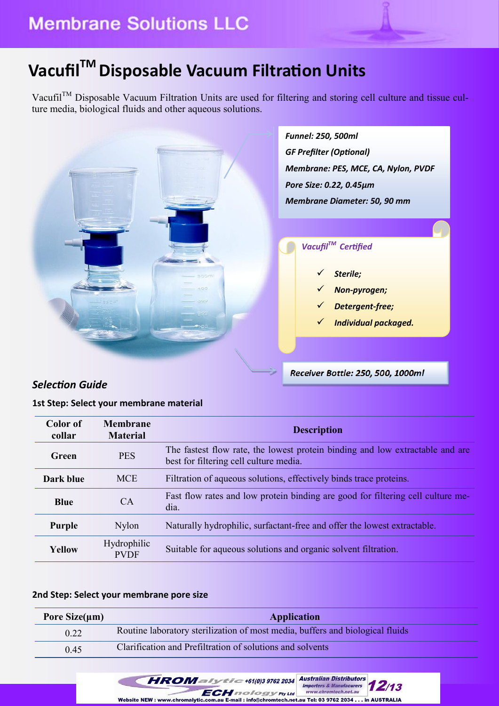# **VacufilTM Disposable Vacuum Filtration Units**

Vacufil<sup>™</sup> Disposable Vacuum Filtration Units are used for filtering and storing cell culture and tissue culture media, biological fluids and other aqueous solutions.



### *Selection Guide*

#### **1st Step: Select your membrane material**

| Color of<br>collar | <b>Membrane</b><br><b>Material</b>                                                                  | <b>Description</b>                                                                                                      |  |  |  |
|--------------------|-----------------------------------------------------------------------------------------------------|-------------------------------------------------------------------------------------------------------------------------|--|--|--|
| Green              | <b>PES</b>                                                                                          | The fastest flow rate, the lowest protein binding and low extractable and are<br>best for filtering cell culture media. |  |  |  |
| Dark blue          | <b>MCE</b>                                                                                          | Filtration of aqueous solutions, effectively binds trace proteins.                                                      |  |  |  |
| <b>Blue</b>        | <b>CA</b>                                                                                           | Fast flow rates and low protein binding are good for filtering cell culture me-<br>dia.                                 |  |  |  |
| <b>Purple</b>      | Naturally hydrophilic, surfactant-free and offer the lowest extractable.<br><b>Nylon</b>            |                                                                                                                         |  |  |  |
| <b>Yellow</b>      | <b>Hydrophilic</b><br>Suitable for aqueous solutions and organic solvent filtration.<br><b>PVDF</b> |                                                                                                                         |  |  |  |

#### **2nd Step: Select your membrane pore size**

| Pore Size $(\mu m)$ | <b>Application</b>                                                            |
|---------------------|-------------------------------------------------------------------------------|
| 0.22                | Routine laboratory sterilization of most media, buffers and biological fluids |
| 0.45                | Clarification and Prefiltration of solutions and solvents                     |